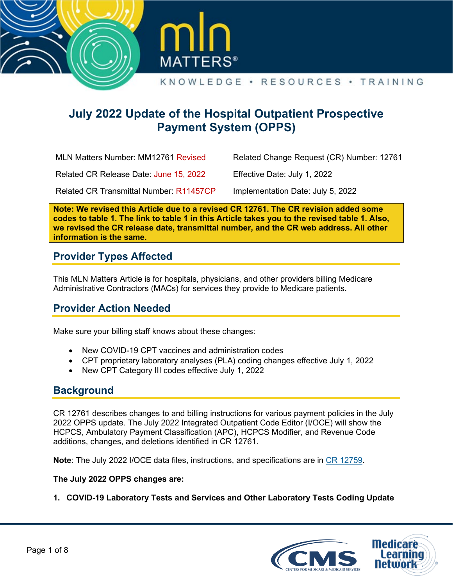



# **July 2022 Update of the Hospital Outpatient Prospective Payment System (OPPS)**

MLN Matters Number: MM12761 Revised

Related Change Request (CR) Number: 12761

Related CR Release Date: June 15, 2022

Effective Date: July 1, 2022

Related CR Transmittal Number: R11457CP

Implementation Date: July 5, 2022

**Note: We revised this Article due to a revised CR 12761. The CR revision added some codes to table 1. The link to table 1 in this Article takes you to the revised table 1. Also, we revised the CR release date, transmittal number, and the CR web address. All other information is the same.**

## **Provider Types Affected**

This MLN Matters Article is for hospitals, physicians, and other providers billing Medicare Administrative Contractors (MACs) for services they provide to Medicare patients.

## **Provider Action Needed**

Make sure your billing staff knows about these changes:

- New COVID-19 CPT vaccines and administration codes
- CPT proprietary laboratory analyses (PLA) coding changes effective July 1, 2022
- New CPT Category III codes effective July 1, 2022

### **Background**

CR 12761 describes changes to and billing instructions for various payment policies in the July 2022 OPPS update. The July 2022 Integrated Outpatient Code Editor (I/OCE) will show the HCPCS, Ambulatory Payment Classification (APC), HCPCS Modifier, and Revenue Code additions, changes, and deletions identified in CR 12761.

**Note**: The July 2022 I/OCE data files, instructions, and specifications are in [CR 12759.](https://www.cms.gov/files/document/r11434CP.pdf)

#### **The July 2022 OPPS changes are:**

**1. COVID-19 Laboratory Tests and Services and Other Laboratory Tests Coding Update**

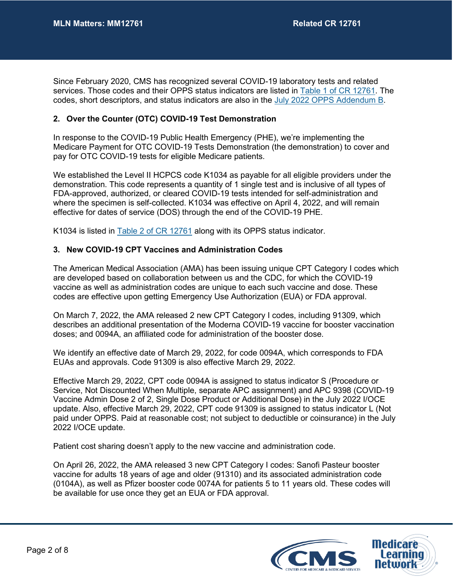Since February 2020, CMS has recognized several COVID-19 laboratory tests and related services. Those codes and their OPPS status indicators are listed in Table 1 [of CR 12761.](https://www.cms.gov/files/document/r11457CP.pdf#page=9) The codes, short descriptors, and status indicators are also in the [July 2022 OPPS Addendum B.](https://www.cms.gov/Medicare/Medicare-Fee-for-Service-Payment/HospitalOutpatientPPS/Addendum-A-and-Addendum-B-Updates)

#### **2. Over the Counter (OTC) COVID-19 Test Demonstration**

In response to the COVID-19 Public Health Emergency (PHE), we're implementing the Medicare Payment for OTC COVID-19 Tests Demonstration (the demonstration) to cover and pay for OTC COVID-19 tests for eligible Medicare patients.

We established the Level II HCPCS code K1034 as payable for all eligible providers under the demonstration. This code represents a quantity of 1 single test and is inclusive of all types of FDA-approved, authorized, or cleared COVID-19 tests intended for self-administration and where the specimen is self-collected. K1034 was effective on April 4, 2022, and will remain effective for dates of service (DOS) through the end of the COVID-19 PHE.

K1034 is listed in Table 2 [of CR 12761](https://www.cms.gov/files/document/r11457CP.pdf#page=12) along with its OPPS status indicator.

#### **3. New COVID-19 CPT Vaccines and Administration Codes**

The American Medical Association (AMA) has been issuing unique CPT Category I codes which are developed based on collaboration between us and the CDC, for which the COVID-19 vaccine as well as administration codes are unique to each such vaccine and dose. These codes are effective upon getting Emergency Use Authorization (EUA) or FDA approval.

On March 7, 2022, the AMA released 2 new CPT Category I codes, including 91309, which describes an additional presentation of the Moderna COVID-19 vaccine for booster vaccination doses; and 0094A, an affiliated code for administration of the booster dose.

We identify an effective date of March 29, 2022, for code 0094A, which corresponds to FDA EUAs and approvals. Code 91309 is also effective March 29, 2022.

Effective March 29, 2022, CPT code 0094A is assigned to status indicator S (Procedure or Service, Not Discounted When Multiple, separate APC assignment) and APC 9398 (COVID-19 Vaccine Admin Dose 2 of 2, Single Dose Product or Additional Dose) in the July 2022 I/OCE update. Also, effective March 29, 2022, CPT code 91309 is assigned to status indicator L (Not paid under OPPS. Paid at reasonable cost; not subject to deductible or coinsurance) in the July 2022 I/OCE update.

Patient cost sharing doesn't apply to the new vaccine and administration code.

On April 26, 2022, the AMA released 3 new CPT Category I codes: Sanofi Pasteur booster vaccine for adults 18 years of age and older (91310) and its associated administration code (0104A), as well as Pfizer booster code 0074A for patients 5 to 11 years old. These codes will be available for use once they get an EUA or FDA approval.

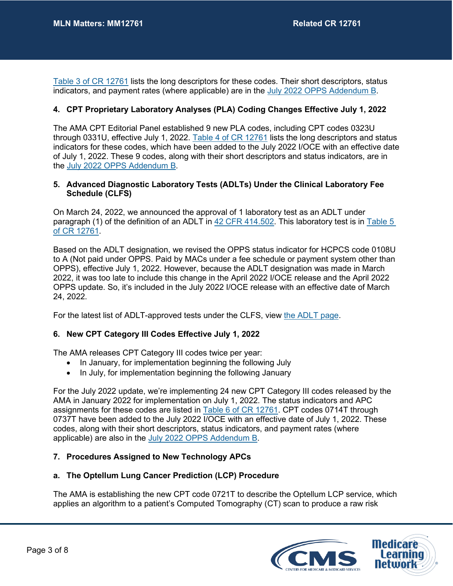Table 3 [of CR 12761](https://www.cms.gov/files/document/r11457CP.pdf#page=12) lists the long descriptors for these codes. Their short descriptors, status indicators, and payment rates (where applicable) are in the [July 2022 OPPS Addendum B.](https://www.cms.gov/Medicare/Medicare-Fee-for-Service-Payment/HospitalOutpatientPPS/Addendum-A-and-Addendum-B-Updates)

#### **4. CPT Proprietary Laboratory Analyses (PLA) Coding Changes Effective July 1, 2022**

The AMA CPT Editorial Panel established 9 new PLA codes, including CPT codes 0323U through 0331U, effective July 1, 2022. Table 4 [of CR 12761](https://www.cms.gov/files/document/r11457CP.pdf#page=18) lists the long descriptors and status indicators for these codes, which have been added to the July 2022 I/OCE with an effective date of July 1, 2022. These 9 codes, along with their short descriptors and status indicators, are in the [July 2022 OPPS Addendum B.](https://www.cms.gov/Medicare/Medicare-Fee-for-Service-Payment/HospitalOutpatientPPS/Addendum-A-and-Addendum-B-Updates)

#### **5. Advanced Diagnostic Laboratory Tests (ADLTs) Under the Clinical Laboratory Fee Schedule (CLFS)**

On March 24, 2022, we announced the approval of 1 laboratory test as an ADLT under paragraph (1) of the definition of an ADLT in [42 CFR 414.502.](https://www.govinfo.gov/content/pkg/CFR-2016-title42-vol3/pdf/CFR-2016-title42-vol3-sec414-502.pdf) This laboratory test is in [Table 5](https://www.cms.gov/files/document/r11457CP.pdf#page=20) [of CR 12761.](https://www.cms.gov/files/document/r11457CP.pdf#page=20)

Based on the ADLT designation, we revised the OPPS status indicator for HCPCS code 0108U to A (Not paid under OPPS. Paid by MACs under a fee schedule or payment system other than OPPS), effective July 1, 2022. However, because the ADLT designation was made in March 2022, it was too late to include this change in the April 2022 I/OCE release and the April 2022 OPPS update. So, it's included in the July 2022 I/OCE release with an effective date of March 24, 2022.

For the latest list of ADLT-approved tests under the CLFS, view [the ADLT page.](https://www.cms.gov/files/document/advanced-diagnostic-laboratory-tests-under-medicare-clfs.pdf)

#### **6. New CPT Category III Codes Effective July 1, 2022**

The AMA releases CPT Category III codes twice per year:

- In January, for implementation beginning the following July
- In July, for implementation beginning the following January

For the July 2022 update, we're implementing 24 new CPT Category III codes released by the AMA in January 2022 for implementation on July 1, 2022. The status indicators and APC assignments for these codes are listed in Table 6 [of CR 12761.](https://www.cms.gov/files/document/r11457CP.pdf#page=20) CPT codes 0714T through 0737T have been added to the July 2022 I/OCE with an effective date of July 1, 2022. These codes, along with their short descriptors, status indicators, and payment rates (where applicable) are also in the [July 2022 OPPS Addendum B.](https://www.cms.gov/Medicare/Medicare-Fee-for-Service-Payment/HospitalOutpatientPPS/Addendum-A-and-Addendum-B-Updates)

#### **7. Procedures Assigned to New Technology APCs**

#### **a. The Optellum Lung Cancer Prediction (LCP) Procedure**

The AMA is establishing the new CPT code 0721T to describe the Optellum LCP service, which applies an algorithm to a patient's Computed Tomography (CT) scan to produce a raw risk

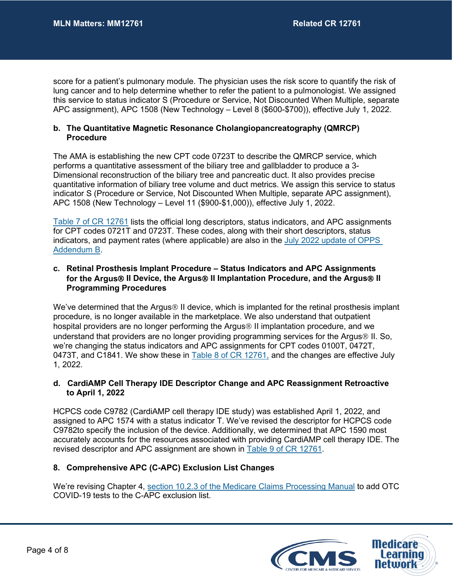score for a patient's pulmonary module. The physician uses the risk score to quantify the risk of lung cancer and to help determine whether to refer the patient to a pulmonologist. We assigned this service to status indicator S (Procedure or Service, Not Discounted When Multiple, separate APC assignment), APC 1508 (New Technology – Level 8 (\$600-\$700)), effective July 1, 2022.

#### **b. The Quantitative Magnetic Resonance Cholangiopancreatography (QMRCP) Procedure**

The AMA is establishing the new CPT code 0723T to describe the QMRCP service, which performs a quantitative assessment of the biliary tree and gallbladder to produce a 3- Dimensional reconstruction of the biliary tree and pancreatic duct. It also provides precise quantitative information of biliary tree volume and duct metrics. We assign this service to status indicator S (Procedure or Service, Not Discounted When Multiple, separate APC assignment), APC 1508 (New Technology – Level 11 (\$900-\$1,000)), effective July 1, 2022.

Table 7 [of CR 12761](https://www.cms.gov/files/document/r11457CP.pdf#page=22) lists the official long descriptors, status indicators, and APC assignments for CPT codes 0721T and 0723T. These codes, along with their short descriptors, status indicators, and payment rates (where applicable) are also in the [July 2022 update of OPPS](https://www.cms.gov/Medicare/Medicare-Fee-for-Service-Payment/HospitalOutpatientPPS/Addendum-A-and-Addendum-B-Updates)  [Addendum B.](https://www.cms.gov/Medicare/Medicare-Fee-for-Service-Payment/HospitalOutpatientPPS/Addendum-A-and-Addendum-B-Updates)

#### **c. Retinal Prosthesis Implant Procedure – Status Indicators and APC Assignments for the Argus II Device, the Argus II Implantation Procedure, and the Argus II Programming Procedures**

We've determined that the Argus $\circledast$  II device, which is implanted for the retinal prosthesis implant procedure, is no longer available in the marketplace. We also understand that outpatient hospital providers are no longer performing the Argus <sup>®</sup> II implantation procedure, and we understand that providers are no longer providing programming services for the Argus® II. So, we're changing the status indicators and APC assignments for CPT codes 0100T, 0472T, 0473T, and C1841. We show these in Table 8 [of CR 12761,](https://www.cms.gov/files/document/r11457CP.pdf#page=23) and the changes are effective July 1, 2022.

#### **d. CardiAMP Cell Therapy IDE Descriptor Change and APC Reassignment Retroactive to April 1, 2022**

HCPCS code C9782 (CardiAMP cell therapy IDE study) was established April 1, 2022, and assigned to APC 1574 with a status indicator T. We've revised the descriptor for HCPCS code C9782to specify the inclusion of the device. Additionally, we determined that APC 1590 most accurately accounts for the resources associated with providing CardiAMP cell therapy IDE. The revised descriptor and APC assignment are shown in Table 9 [of CR 12761.](https://www.cms.gov/files/document/r11457CP.pdf#page=23)

#### **8. Comprehensive APC (C-APC) Exclusion List Changes**

We're revising Chapter 4, [section 10.2.3 of the Medicare Claims Processing Manual](https://www.cms.gov/files/document/r11435CP.pdf#page=25) to add OTC COVID-19 tests to the C-APC exclusion list.

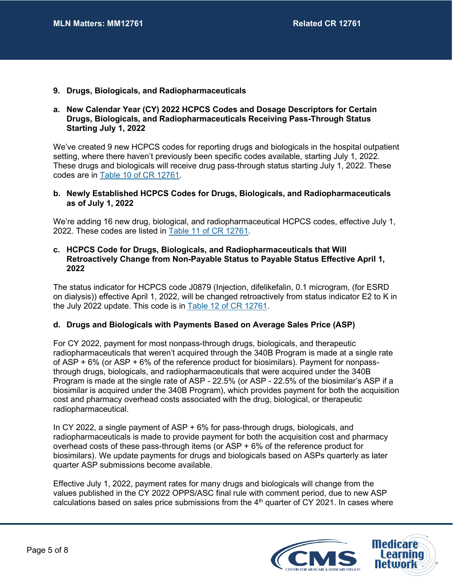**9. Drugs, Biologicals, and Radiopharmaceuticals**

#### **a. New Calendar Year (CY) 2022 HCPCS Codes and Dosage Descriptors for Certain Drugs, Biologicals, and Radiopharmaceuticals Receiving Pass-Through Status Starting July 1, 2022**

We've created 9 new HCPCS codes for reporting drugs and biologicals in the hospital outpatient setting, where there haven't previously been specific codes available, starting July 1, 2022. These drugs and biologicals will receive drug pass-through status starting July 1, 2022. These codes are in Table 10 [of CR 12761.](https://www.cms.gov/files/document/r11457CP.pdf#page=24)

#### **b. Newly Established HCPCS Codes for Drugs, Biologicals, and Radiopharmaceuticals as of July 1, 2022**

We're adding 16 new drug, biological, and radiopharmaceutical HCPCS codes, effective July 1, 2022. These codes are listed in Table 11 [of CR 12761.](https://www.cms.gov/files/document/r11457CP.pdf#page=24)

#### **c. HCPCS Code for Drugs, Biologicals, and Radiopharmaceuticals that Will Retroactively Change from Non-Payable Status to Payable Status Effective April 1, 2022**

The status indicator for HCPCS code J0879 (Injection, difelikefalin, 0.1 microgram, (for ESRD on dialysis)) effective April 1, 2022, will be changed retroactively from status indicator E2 to K in the July 2022 update. This code is in Table 12 [of CR 12761.](https://www.cms.gov/files/document/r11457CP.pdf#page=25)

#### **d. Drugs and Biologicals with Payments Based on Average Sales Price (ASP)**

For CY 2022, payment for most nonpass-through drugs, biologicals, and therapeutic radiopharmaceuticals that weren't acquired through the 340B Program is made at a single rate of ASP + 6% (or ASP + 6% of the reference product for biosimilars). Payment for nonpassthrough drugs, biologicals, and radiopharmaceuticals that were acquired under the 340B Program is made at the single rate of ASP - 22.5% (or ASP - 22.5% of the biosimilar's ASP if a biosimilar is acquired under the 340B Program), which provides payment for both the acquisition cost and pharmacy overhead costs associated with the drug, biological, or therapeutic radiopharmaceutical.

In CY 2022, a single payment of ASP + 6% for pass-through drugs, biologicals, and radiopharmaceuticals is made to provide payment for both the acquisition cost and pharmacy overhead costs of these pass-through items (or ASP + 6% of the reference product for biosimilars). We update payments for drugs and biologicals based on ASPs quarterly as later quarter ASP submissions become available.

Effective July 1, 2022, payment rates for many drugs and biologicals will change from the values published in the CY 2022 OPPS/ASC final rule with comment period, due to new ASP calculations based on sales price submissions from the  $4<sup>th</sup>$  quarter of CY 2021. In cases where

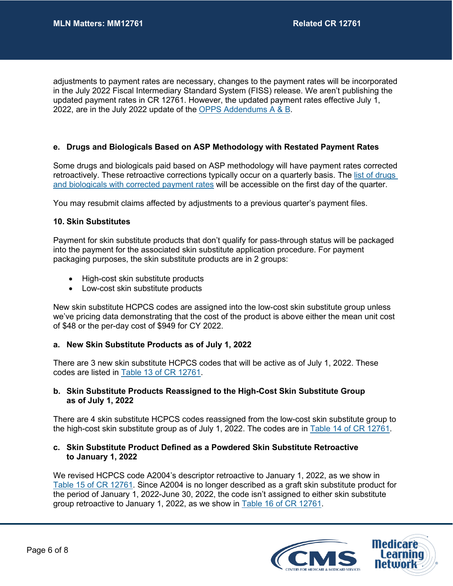adjustments to payment rates are necessary, changes to the payment rates will be incorporated in the July 2022 Fiscal Intermediary Standard System (FISS) release. We aren't publishing the updated payment rates in CR 12761. However, the updated payment rates effective July 1, 2022, are in the July 2022 update of the [OPPS Addendums A & B.](https://www.cms.gov/Medicare/Medicare-Fee-for-Service-Payment/HospitalOutpatientPPS/Addendum-A-and-Addendum-B-Updates)

#### **e. Drugs and Biologicals Based on ASP Methodology with Restated Payment Rates**

Some drugs and biologicals paid based on ASP methodology will have payment rates corrected retroactively. These retroactive corrections typically occur on a quarterly basis. The list of drugs [and biologicals with corrected payment rates](https://www.cms.gov/Medicare/Medicare-Fee-for-Service-Payment/HospitalOutpatientPPS/OPPS-Restated-Payment-Rates.html) will be accessible on the first day of the quarter.

You may resubmit claims affected by adjustments to a previous quarter's payment files.

#### **10. Skin Substitutes**

Payment for skin substitute products that don't qualify for pass-through status will be packaged into the payment for the associated skin substitute application procedure. For payment packaging purposes, the skin substitute products are in 2 groups:

- High-cost skin substitute products
- Low-cost skin substitute products

New skin substitute HCPCS codes are assigned into the low-cost skin substitute group unless we've pricing data demonstrating that the cost of the product is above either the mean unit cost of \$48 or the per-day cost of \$949 for CY 2022.

#### **a. New Skin Substitute Products as of July 1, 2022**

There are 3 new skin substitute HCPCS codes that will be active as of July 1, 2022. These codes are listed in Table 13 [of CR 12761.](https://www.cms.gov/files/document/r11457CP.pdf#page=25)

#### **b. Skin Substitute Products Reassigned to the High-Cost Skin Substitute Group as of July 1, 2022**

There are 4 skin substitute HCPCS codes reassigned from the low-cost skin substitute group to the high-cost skin substitute group as of July 1, 2022. The codes are in Table 14 [of CR 12761.](https://www.cms.gov/files/document/r11457CP.pdf#page=25)

#### **c. Skin Substitute Product Defined as a Powdered Skin Substitute Retroactive to January 1, 2022**

We revised HCPCS code A2004's descriptor retroactive to January 1, 2022, as we show in Table 15 [of CR 12761.](https://www.cms.gov/files/document/r11457CP.pdf#page=25) Since A2004 is no longer described as a graft skin substitute product for the period of January 1, 2022-June 30, 2022, the code isn't assigned to either skin substitute group retroactive to January 1, 2022, as we show in Table 16 [of CR 12761.](https://www.cms.gov/files/document/r11457CP.pdf#page=26)

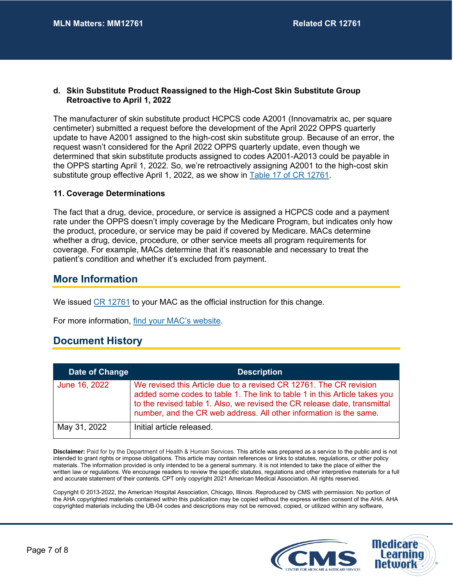#### **d. Skin Substitute Product Reassigned to the High-Cost Skin Substitute Group Retroactive to April 1, 2022**

The manufacturer of skin substitute product HCPCS code A2001 (Innovamatrix ac, per square centimeter) submitted a request before the development of the April 2022 OPPS quarterly update to have A2001 assigned to the high-cost skin substitute group. Because of an error, the request wasn't considered for the April 2022 OPPS quarterly update, even though we determined that skin substitute products assigned to codes A2001-A2013 could be payable in the OPPS starting April 1, 2022. So, we're retroactively assigning A2001 to the high-cost skin substitute group effective April 1, 2022, as we show in Table 17 [of CR 12761.](https://www.cms.gov/files/document/r11457CP.pdf#page=26)

#### **11. Coverage Determinations**

The fact that a drug, device, procedure, or service is assigned a HCPCS code and a payment rate under the OPPS doesn't imply coverage by the Medicare Program, but indicates only how the product, procedure, or service may be paid if covered by Medicare. MACs determine whether a drug, device, procedure, or other service meets all program requirements for coverage. For example, MACs determine that it's reasonable and necessary to treat the patient's condition and whether it's excluded from payment.

### **More Information**

We issued [CR 12761](https://www.cms.gov/files/document/r11457CP.pdf) to your MAC as the official instruction for this change.

For more information, [find your MAC's website.](https://www.cms.gov/MAC-info)

### **Document History**

| Date of Change | <b>Description</b>                                                                                                                                                                                                                                                                                  |
|----------------|-----------------------------------------------------------------------------------------------------------------------------------------------------------------------------------------------------------------------------------------------------------------------------------------------------|
| June 16, 2022  | We revised this Article due to a revised CR 12761. The CR revision<br>added some codes to table 1. The link to table 1 in this Article takes you<br>to the revised table 1. Also, we revised the CR release date, transmittal<br>number, and the CR web address. All other information is the same. |
| May 31, 2022   | Initial article released.                                                                                                                                                                                                                                                                           |

**Disclaimer:** Paid for by the Department of Health & Human Services. This article was prepared as a service to the public and is not intended to grant rights or impose obligations. This article may contain references or links to statutes, regulations, or other policy materials. The information provided is only intended to be a general summary. It is not intended to take the place of either the written law or regulations. We encourage readers to review the specific statutes, regulations and other interpretive materials for a full and accurate statement of their contents. CPT only copyright 2021 American Medical Association. All rights reserved.

Copyright © 2013-2022, the American Hospital Association, Chicago, Illinois. Reproduced by CMS with permission. No portion of the AHA copyrighted materials contained within this publication may be copied without the express written consent of the AHA. AHA copyrighted materials including the UB-04 codes and descriptions may not be removed, copied, or utilized within any software,